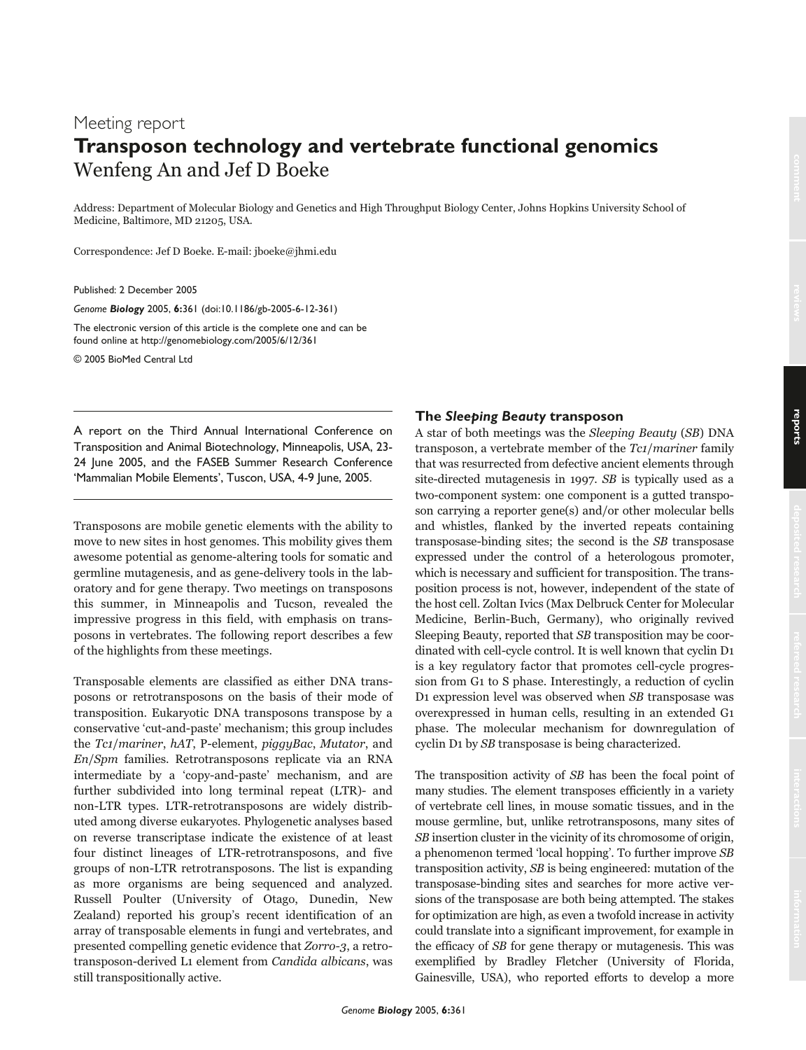# Meeting report **Transposon technology and vertebrate functional genomics** Wenfeng An and Jef D Boeke

Address: Department of Molecular Biology and Genetics and High Throughput Biology Center, Johns Hopkins University School of Medicine, Baltimore, MD 21205, USA.

Correspondence: Jef D Boeke. E-mail: jboeke@jhmi.edu

Published: 2 December 2005

*Genome Biology* 2005, **6:**361 (doi:10.1186/gb-2005-6-12-361)

The electronic version of this article is the complete one and can be found online at http://genomebiology.com/2005/6/12/361

© 2005 BioMed Central Ltd

A report on the Third Annual International Conference on Transposition and Animal Biotechnology, Minneapolis, USA, 23- 24 June 2005, and the FASEB Summer Research Conference 'Mammalian Mobile Elements', Tuscon, USA, 4-9 June, 2005.

Transposons are mobile genetic elements with the ability to move to new sites in host genomes. This mobility gives them awesome potential as genome-altering tools for somatic and germline mutagenesis, and as gene-delivery tools in the laboratory and for gene therapy. Two meetings on transposons this summer, in Minneapolis and Tucson, revealed the impressive progress in this field, with emphasis on transposons in vertebrates. The following report describes a few of the highlights from these meetings.

Transposable elements are classified as either DNA transposons or retrotransposons on the basis of their mode of transposition. Eukaryotic DNA transposons transpose by a conservative 'cut-and-paste' mechanism; this group includes the Tc1/mariner, hAT, P-element, piggyBac, Mutator, and En/Spm families. Retrotransposons replicate via an RNA intermediate by a 'copy-and-paste' mechanism, and are further subdivided into long terminal repeat (LTR)- and non-LTR types. LTR-retrotransposons are widely distributed among diverse eukaryotes. Phylogenetic analyses based on reverse transcriptase indicate the existence of at least four distinct lineages of LTR-retrotransposons, and five groups of non-LTR retrotransposons. The list is expanding as more organisms are being sequenced and analyzed. Russell Poulter (University of Otago, Dunedin, New Zealand) reported his group's recent identification of an array of transposable elements in fungi and vertebrates, and presented compelling genetic evidence that Zorro-3, a retrotransposon-derived L1 element from Candida albicans, was still transpositionally active.

### **The** *Sleeping Beauty* **transposon**

A star of both meetings was the Sleeping Beauty (SB) DNA transposon, a vertebrate member of the Tc1/mariner family that was resurrected from defective ancient elements through site-directed mutagenesis in 1997. SB is typically used as a two-component system: one component is a gutted transposon carrying a reporter gene(s) and/or other molecular bells and whistles, flanked by the inverted repeats containing transposase-binding sites; the second is the SB transposase expressed under the control of a heterologous promoter, which is necessary and sufficient for transposition. The transposition process is not, however, independent of the state of the host cell. Zoltan Ivics (Max Delbruck Center for Molecular Medicine, Berlin-Buch, Germany), who originally revived Sleeping Beauty, reported that SB transposition may be coordinated with cell-cycle control. It is well known that cyclin D1 is a key regulatory factor that promotes cell-cycle progression from G1 to S phase. Interestingly, a reduction of cyclin D1 expression level was observed when SB transposase was overexpressed in human cells, resulting in an extended G1 phase. The molecular mechanism for downregulation of cyclin D1 by SB transposase is being characterized.

The transposition activity of SB has been the focal point of many studies. The element transposes efficiently in a variety of vertebrate cell lines, in mouse somatic tissues, and in the mouse germline, but, unlike retrotransposons, many sites of SB insertion cluster in the vicinity of its chromosome of origin, a phenomenon termed 'local hopping'. To further improve SB transposition activity, SB is being engineered: mutation of the transposase-binding sites and searches for more active versions of the transposase are both being attempted. The stakes for optimization are high, as even a twofold increase in activity could translate into a significant improvement, for example in the efficacy of SB for gene therapy or mutagenesis. This was exemplified by Bradley Fletcher (University of Florida, Gainesville, USA), who reported efforts to develop a more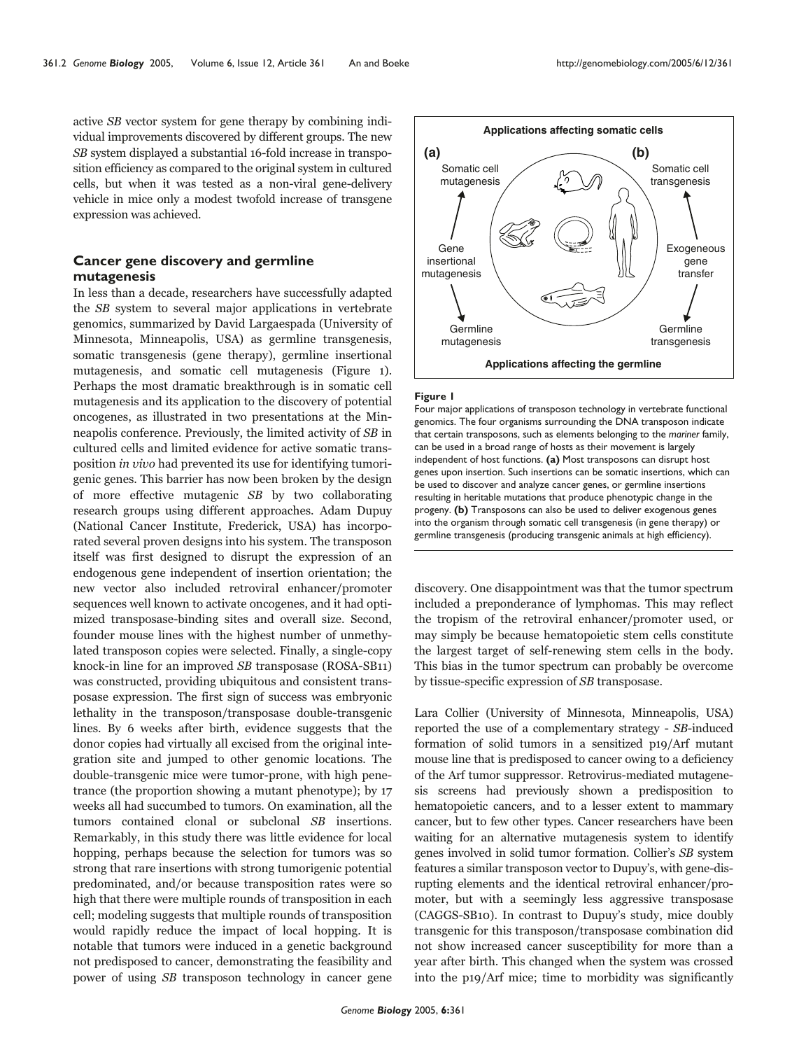active SB vector system for gene therapy by combining individual improvements discovered by different groups. The new SB system displayed a substantial 16-fold increase in transposition efficiency as compared to the original system in cultured cells, but when it was tested as a non-viral gene-delivery vehicle in mice only a modest twofold increase of transgene expression was achieved.

## **Cancer gene discovery and germline mutagenesis**

In less than a decade, researchers have successfully adapted the SB system to several major applications in vertebrate genomics, summarized by David Largaespada (University of Minnesota, Minneapolis, USA) as germline transgenesis, somatic transgenesis (gene therapy), germline insertional mutagenesis, and somatic cell mutagenesis (Figure 1). Perhaps the most dramatic breakthrough is in somatic cell mutagenesis and its application to the discovery of potential oncogenes, as illustrated in two presentations at the Minneapolis conference. Previously, the limited activity of SB in cultured cells and limited evidence for active somatic transposition in vivo had prevented its use for identifying tumorigenic genes. This barrier has now been broken by the design of more effective mutagenic SB by two collaborating research groups using different approaches. Adam Dupuy (National Cancer Institute, Frederick, USA) has incorporated several proven designs into his system. The transposon itself was first designed to disrupt the expression of an endogenous gene independent of insertion orientation; the new vector also included retroviral enhancer/promoter sequences well known to activate oncogenes, and it had optimized transposase-binding sites and overall size. Second, founder mouse lines with the highest number of unmethylated transposon copies were selected. Finally, a single-copy knock-in line for an improved SB transposase (ROSA-SB11) was constructed, providing ubiquitous and consistent transposase expression. The first sign of success was embryonic lethality in the transposon/transposase double-transgenic lines. By 6 weeks after birth, evidence suggests that the donor copies had virtually all excised from the original integration site and jumped to other genomic locations. The double-transgenic mice were tumor-prone, with high penetrance (the proportion showing a mutant phenotype); by 17 weeks all had succumbed to tumors. On examination, all the tumors contained clonal or subclonal SB insertions. Remarkably, in this study there was little evidence for local hopping, perhaps because the selection for tumors was so strong that rare insertions with strong tumorigenic potential predominated, and/or because transposition rates were so high that there were multiple rounds of transposition in each cell; modeling suggests that multiple rounds of transposition would rapidly reduce the impact of local hopping. It is notable that tumors were induced in a genetic background not predisposed to cancer, demonstrating the feasibility and power of using SB transposon technology in cancer gene



#### **Figure 1**

Four major applications of transposon technology in vertebrate functional genomics. The four organisms surrounding the DNA transposon indicate that certain transposons, such as elements belonging to the *mariner* family, can be used in a broad range of hosts as their movement is largely independent of host functions. **(a)** Most transposons can disrupt host genes upon insertion. Such insertions can be somatic insertions, which can be used to discover and analyze cancer genes, or germline insertions resulting in heritable mutations that produce phenotypic change in the progeny. **(b)** Transposons can also be used to deliver exogenous genes into the organism through somatic cell transgenesis (in gene therapy) or germline transgenesis (producing transgenic animals at high efficiency).

discovery. One disappointment was that the tumor spectrum included a preponderance of lymphomas. This may reflect the tropism of the retroviral enhancer/promoter used, or may simply be because hematopoietic stem cells constitute the largest target of self-renewing stem cells in the body. This bias in the tumor spectrum can probably be overcome by tissue-specific expression of SB transposase.

Lara Collier (University of Minnesota, Minneapolis, USA) reported the use of a complementary strategy - SB-induced formation of solid tumors in a sensitized p19/Arf mutant mouse line that is predisposed to cancer owing to a deficiency of the Arf tumor suppressor. Retrovirus-mediated mutagenesis screens had previously shown a predisposition to hematopoietic cancers, and to a lesser extent to mammary cancer, but to few other types. Cancer researchers have been waiting for an alternative mutagenesis system to identify genes involved in solid tumor formation. Collier's SB system features a similar transposon vector to Dupuy's, with gene-disrupting elements and the identical retroviral enhancer/promoter, but with a seemingly less aggressive transposase (CAGGS-SB10). In contrast to Dupuy's study, mice doubly transgenic for this transposon/transposase combination did not show increased cancer susceptibility for more than a year after birth. This changed when the system was crossed into the p19/Arf mice; time to morbidity was significantly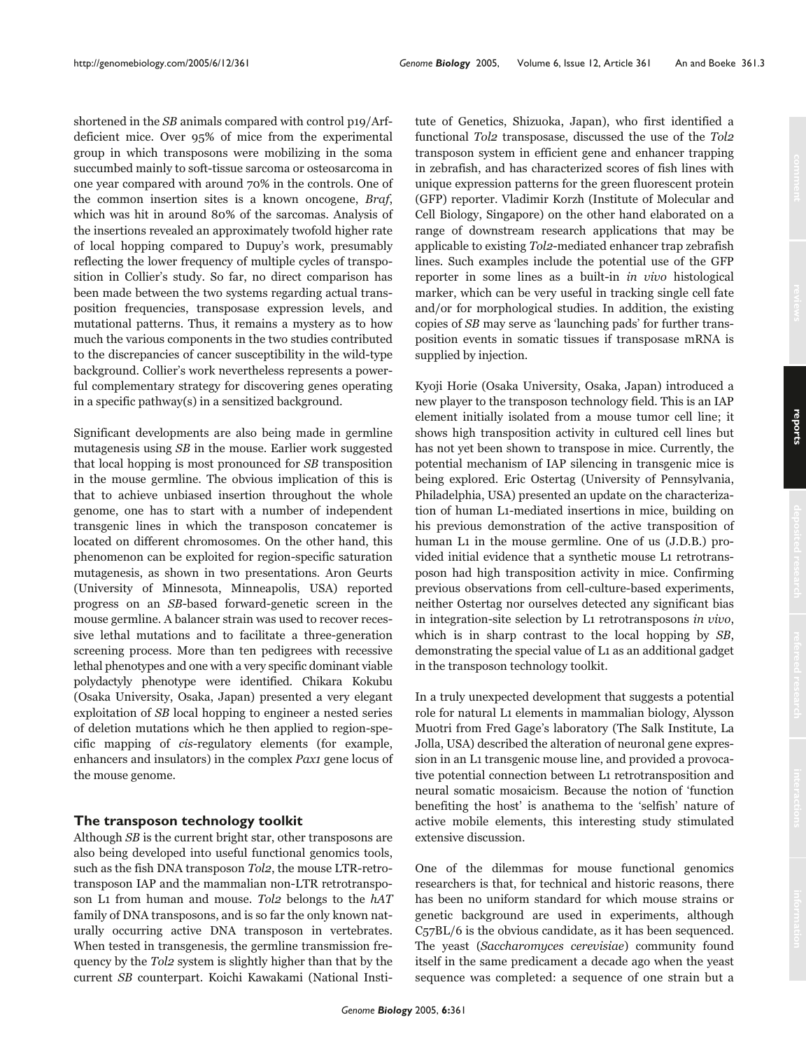shortened in the SB animals compared with control p19/Arfdeficient mice. Over 95% of mice from the experimental group in which transposons were mobilizing in the soma succumbed mainly to soft-tissue sarcoma or osteosarcoma in one year compared with around 70% in the controls. One of the common insertion sites is a known oncogene, Braf, which was hit in around 80% of the sarcomas. Analysis of the insertions revealed an approximately twofold higher rate of local hopping compared to Dupuy's work, presumably reflecting the lower frequency of multiple cycles of transposition in Collier's study. So far, no direct comparison has been made between the two systems regarding actual transposition frequencies, transposase expression levels, and mutational patterns. Thus, it remains a mystery as to how much the various components in the two studies contributed to the discrepancies of cancer susceptibility in the wild-type background. Collier's work nevertheless represents a powerful complementary strategy for discovering genes operating in a specific pathway(s) in a sensitized background.

Significant developments are also being made in germline mutagenesis using SB in the mouse. Earlier work suggested that local hopping is most pronounced for SB transposition in the mouse germline. The obvious implication of this is that to achieve unbiased insertion throughout the whole genome, one has to start with a number of independent transgenic lines in which the transposon concatemer is located on different chromosomes. On the other hand, this phenomenon can be exploited for region-specific saturation mutagenesis, as shown in two presentations. Aron Geurts (University of Minnesota, Minneapolis, USA) reported progress on an SB-based forward-genetic screen in the mouse germline. A balancer strain was used to recover recessive lethal mutations and to facilitate a three-generation screening process. More than ten pedigrees with recessive lethal phenotypes and one with a very specific dominant viable polydactyly phenotype were identified. Chikara Kokubu (Osaka University, Osaka, Japan) presented a very elegant exploitation of SB local hopping to engineer a nested series of deletion mutations which he then applied to region-specific mapping of cis-regulatory elements (for example, enhancers and insulators) in the complex Pax1 gene locus of the mouse genome.

#### **The transposon technology toolkit**

Although SB is the current bright star, other transposons are also being developed into useful functional genomics tools, such as the fish DNA transposon Tol2, the mouse LTR-retrotransposon IAP and the mammalian non-LTR retrotransposon L1 from human and mouse. Tol2 belongs to the hAT family of DNA transposons, and is so far the only known naturally occurring active DNA transposon in vertebrates. When tested in transgenesis, the germline transmission frequency by the Tol2 system is slightly higher than that by the current SB counterpart. Koichi Kawakami (National Institute of Genetics, Shizuoka, Japan), who first identified a functional Tol2 transposase, discussed the use of the Tol2 transposon system in efficient gene and enhancer trapping in zebrafish, and has characterized scores of fish lines with unique expression patterns for the green fluorescent protein (GFP) reporter. Vladimir Korzh (Institute of Molecular and Cell Biology, Singapore) on the other hand elaborated on a range of downstream research applications that may be applicable to existing Tol2-mediated enhancer trap zebrafish lines. Such examples include the potential use of the GFP reporter in some lines as a built-in in vivo histological marker, which can be very useful in tracking single cell fate and/or for morphological studies. In addition, the existing copies of SB may serve as 'launching pads' for further transposition events in somatic tissues if transposase mRNA is supplied by injection.

Kyoji Horie (Osaka University, Osaka, Japan) introduced a new player to the transposon technology field. This is an IAP element initially isolated from a mouse tumor cell line; it shows high transposition activity in cultured cell lines but has not yet been shown to transpose in mice. Currently, the potential mechanism of IAP silencing in transgenic mice is being explored. Eric Ostertag (University of Pennsylvania, Philadelphia, USA) presented an update on the characterization of human L1-mediated insertions in mice, building on his previous demonstration of the active transposition of human L1 in the mouse germline. One of us (J.D.B.) provided initial evidence that a synthetic mouse L1 retrotransposon had high transposition activity in mice. Confirming previous observations from cell-culture-based experiments, neither Ostertag nor ourselves detected any significant bias in integration-site selection by L1 retrotransposons in vivo, which is in sharp contrast to the local hopping by SB, demonstrating the special value of L1 as an additional gadget in the transposon technology toolkit.

In a truly unexpected development that suggests a potential role for natural L1 elements in mammalian biology, Alysson Muotri from Fred Gage's laboratory (The Salk Institute, La Jolla, USA) described the alteration of neuronal gene expression in an L1 transgenic mouse line, and provided a provocative potential connection between L1 retrotransposition and neural somatic mosaicism. Because the notion of 'function benefiting the host' is anathema to the 'selfish' nature of active mobile elements, this interesting study stimulated extensive discussion.

One of the dilemmas for mouse functional genomics researchers is that, for technical and historic reasons, there has been no uniform standard for which mouse strains or genetic background are used in experiments, although C57BL/6 is the obvious candidate, as it has been sequenced. The yeast (Saccharomyces cerevisiae) community found itself in the same predicament a decade ago when the yeast sequence was completed: a sequence of one strain but a